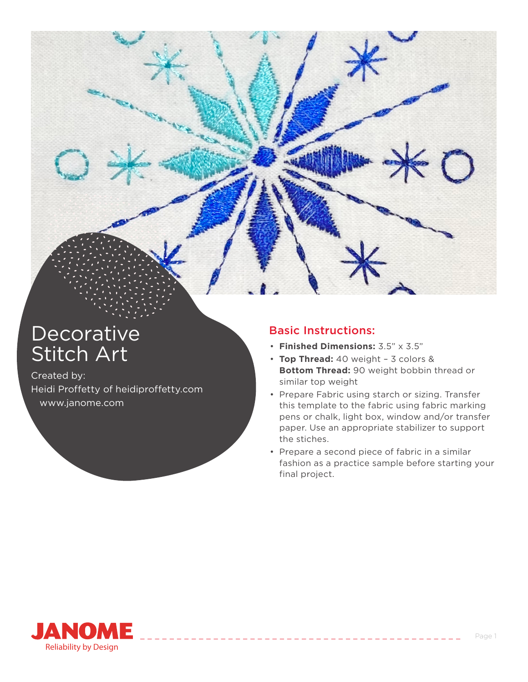

## **Decorative** Stitch Art

Created by: Heidi Proffetty of heidiproffetty.com www.janome.com

## Basic Instructions:

- **Finished Dimensions:** 3.5" x 3.5"
- **Top Thread:** 40 weight 3 colors & **Bottom Thread:** 90 weight bobbin thread or similar top weight
- Prepare Fabric using starch or sizing. Transfer this template to the fabric using fabric marking pens or chalk, light box, window and/or transfer paper. Use an appropriate stabilizer to support the stiches.
- Prepare a second piece of fabric in a similar fashion as a practice sample before starting your final project.

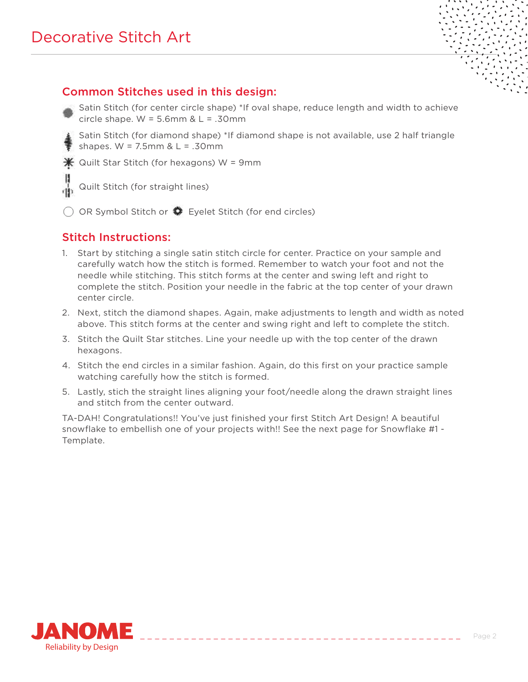## Common Stitches used in this design:

- Satin Stitch (for center circle shape) \*If oval shape, reduce length and width to achieve circle shape.  $W = 5.6$ mm &  $L = .30$ mm
- Satin Stitch (for diamond shape) \*If diamond shape is not available, use 2 half triangle shapes.  $W = 7.5$ mm &  $L = .30$ mm

 $*$  Quilt Star Stitch (for hexagons) W = 9mm

- Quilt Stitch (for straight lines)
- $\bigcirc$  OR Symbol Stitch or  $\bigcirc$  Eyelet Stitch (for end circles)

## Stitch Instructions:

- 1. Start by stitching a single satin stitch circle for center. Practice on your sample and carefully watch how the stitch is formed. Remember to watch your foot and not the needle while stitching. This stitch forms at the center and swing left and right to complete the stitch. Position your needle in the fabric at the top center of your drawn center circle.
- 2. Next, stitch the diamond shapes. Again, make adjustments to length and width as noted above. This stitch forms at the center and swing right and left to complete the stitch.
- 3. Stitch the Quilt Star stitches. Line your needle up with the top center of the drawn hexagons.
- 4. Stitch the end circles in a similar fashion. Again, do this first on your practice sample watching carefully how the stitch is formed.
- 5. Lastly, stich the straight lines aligning your foot/needle along the drawn straight lines and stitch from the center outward.

TA-DAH! Congratulations!! You've just finished your first Stitch Art Design! A beautiful snowflake to embellish one of your projects with!! See the next page for Snowflake #1 - Template.